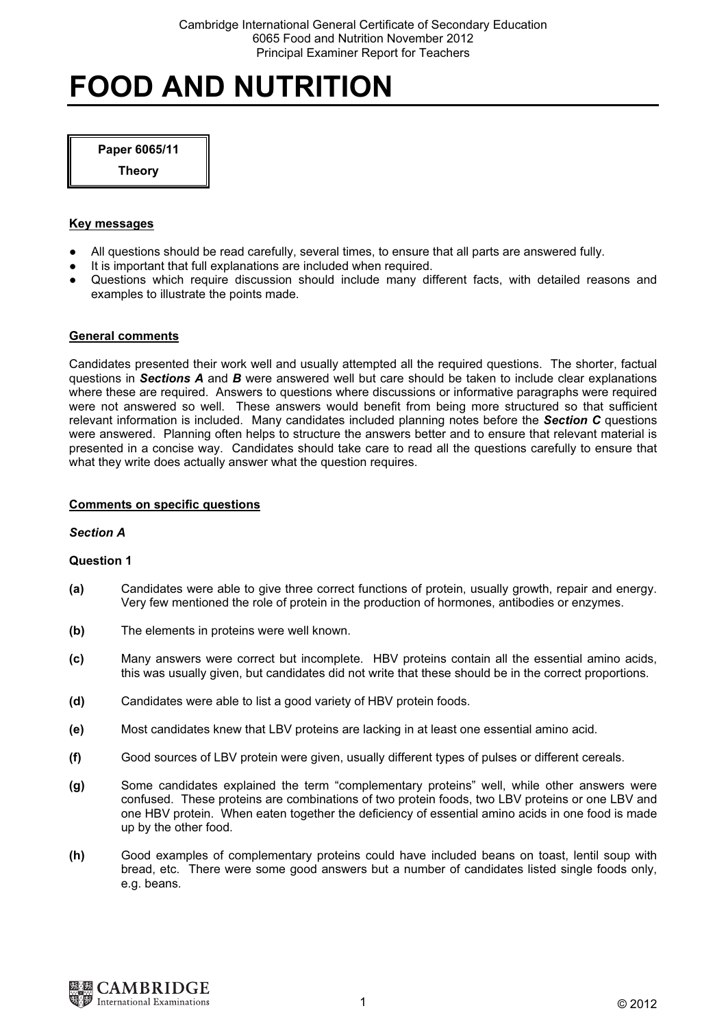# FOOD AND NUTRITION

## Paper 6065/11

**Theory** 

## Key messages

- All questions should be read carefully, several times, to ensure that all parts are answered fully.
- It is important that full explanations are included when required.
- Questions which require discussion should include many different facts, with detailed reasons and examples to illustrate the points made.

## General comments

Candidates presented their work well and usually attempted all the required questions. The shorter, factual questions in Sections  $A$  and  $B$  were answered well but care should be taken to include clear explanations where these are required. Answers to questions where discussions or informative paragraphs were required were not answered so well. These answers would benefit from being more structured so that sufficient relevant information is included. Many candidates included planning notes before the Section C questions were answered. Planning often helps to structure the answers better and to ensure that relevant material is presented in a concise way. Candidates should take care to read all the questions carefully to ensure that what they write does actually answer what the question requires.

## Comments on specific questions

#### Section A

- (a) Candidates were able to give three correct functions of protein, usually growth, repair and energy. Very few mentioned the role of protein in the production of hormones, antibodies or enzymes.
- (b) The elements in proteins were well known.
- (c) Many answers were correct but incomplete. HBV proteins contain all the essential amino acids, this was usually given, but candidates did not write that these should be in the correct proportions.
- (d) Candidates were able to list a good variety of HBV protein foods.
- (e) Most candidates knew that LBV proteins are lacking in at least one essential amino acid.
- (f) Good sources of LBV protein were given, usually different types of pulses or different cereals.
- (g) Some candidates explained the term "complementary proteins" well, while other answers were confused. These proteins are combinations of two protein foods, two LBV proteins or one LBV and one HBV protein. When eaten together the deficiency of essential amino acids in one food is made up by the other food.
- (h) Good examples of complementary proteins could have included beans on toast, lentil soup with bread, etc. There were some good answers but a number of candidates listed single foods only, e.g. beans.

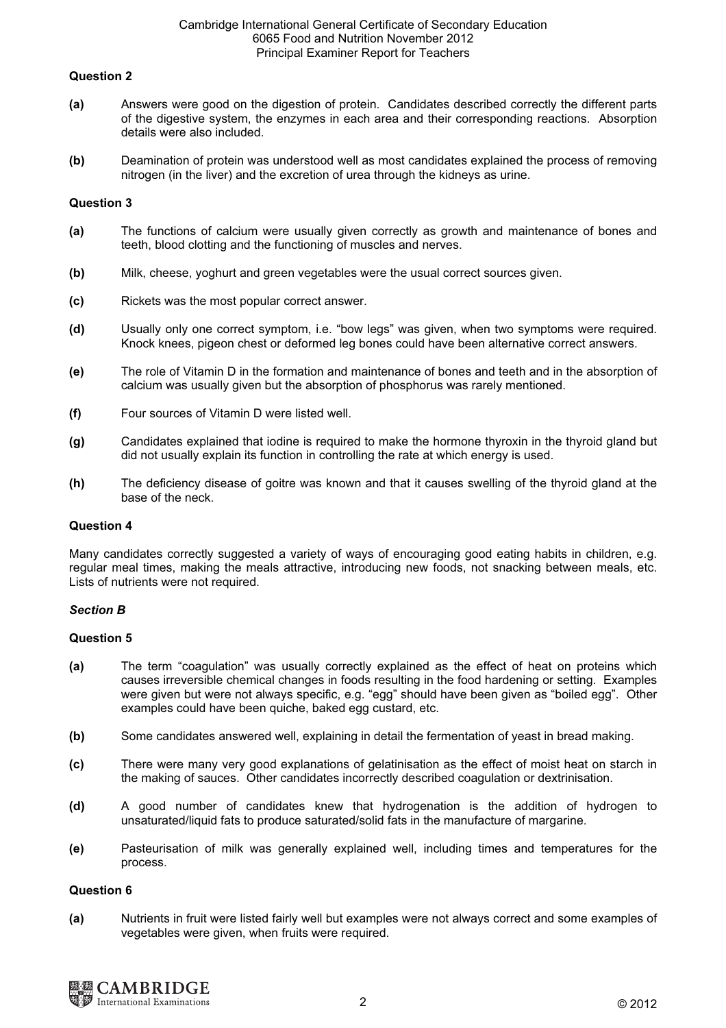## Question 2

- (a) Answers were good on the digestion of protein. Candidates described correctly the different parts of the digestive system, the enzymes in each area and their corresponding reactions. Absorption details were also included.
- (b) Deamination of protein was understood well as most candidates explained the process of removing nitrogen (in the liver) and the excretion of urea through the kidneys as urine.

## Question 3

- (a) The functions of calcium were usually given correctly as growth and maintenance of bones and teeth, blood clotting and the functioning of muscles and nerves.
- (b) Milk, cheese, yoghurt and green vegetables were the usual correct sources given.
- (c) Rickets was the most popular correct answer.
- (d) Usually only one correct symptom, i.e. "bow legs" was given, when two symptoms were required. Knock knees, pigeon chest or deformed leg bones could have been alternative correct answers.
- (e) The role of Vitamin D in the formation and maintenance of bones and teeth and in the absorption of calcium was usually given but the absorption of phosphorus was rarely mentioned.
- (f) Four sources of Vitamin D were listed well.
- (g) Candidates explained that iodine is required to make the hormone thyroxin in the thyroid gland but did not usually explain its function in controlling the rate at which energy is used.
- (h) The deficiency disease of goitre was known and that it causes swelling of the thyroid gland at the base of the neck.

#### Question 4

Many candidates correctly suggested a variety of ways of encouraging good eating habits in children, e.g. regular meal times, making the meals attractive, introducing new foods, not snacking between meals, etc. Lists of nutrients were not required.

#### Section B

## Question 5

- (a) The term "coagulation" was usually correctly explained as the effect of heat on proteins which causes irreversible chemical changes in foods resulting in the food hardening or setting. Examples were given but were not always specific, e.g. "egg" should have been given as "boiled egg". Other examples could have been quiche, baked egg custard, etc.
- (b) Some candidates answered well, explaining in detail the fermentation of yeast in bread making.
- (c) There were many very good explanations of gelatinisation as the effect of moist heat on starch in the making of sauces. Other candidates incorrectly described coagulation or dextrinisation.
- (d) A good number of candidates knew that hydrogenation is the addition of hydrogen to unsaturated/liquid fats to produce saturated/solid fats in the manufacture of margarine.
- (e) Pasteurisation of milk was generally explained well, including times and temperatures for the process.

#### Question 6

(a) Nutrients in fruit were listed fairly well but examples were not always correct and some examples of vegetables were given, when fruits were required.

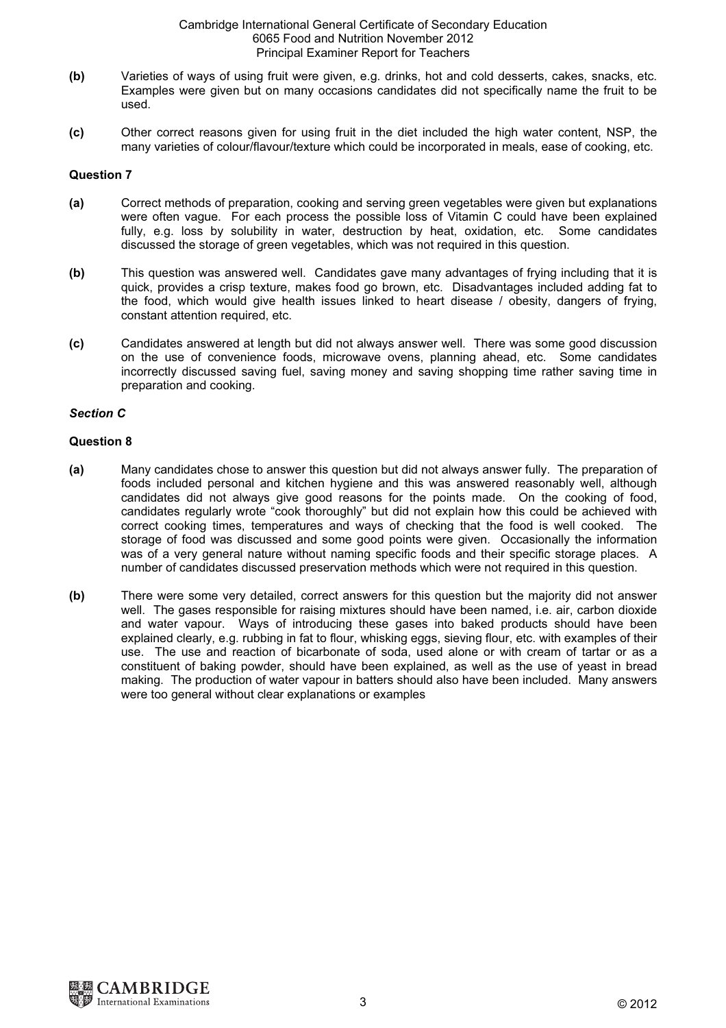- (b) Varieties of ways of using fruit were given, e.g. drinks, hot and cold desserts, cakes, snacks, etc. Examples were given but on many occasions candidates did not specifically name the fruit to be used.
- (c) Other correct reasons given for using fruit in the diet included the high water content, NSP, the many varieties of colour/flavour/texture which could be incorporated in meals, ease of cooking, etc.

## Question 7

- (a) Correct methods of preparation, cooking and serving green vegetables were given but explanations were often vague. For each process the possible loss of Vitamin C could have been explained fully, e.g. loss by solubility in water, destruction by heat, oxidation, etc. Some candidates discussed the storage of green vegetables, which was not required in this question.
- (b) This question was answered well. Candidates gave many advantages of frying including that it is quick, provides a crisp texture, makes food go brown, etc. Disadvantages included adding fat to the food, which would give health issues linked to heart disease / obesity, dangers of frying, constant attention required, etc.
- (c) Candidates answered at length but did not always answer well. There was some good discussion on the use of convenience foods, microwave ovens, planning ahead, etc. Some candidates incorrectly discussed saving fuel, saving money and saving shopping time rather saving time in preparation and cooking.

## Section C

- (a) Many candidates chose to answer this question but did not always answer fully. The preparation of foods included personal and kitchen hygiene and this was answered reasonably well, although candidates did not always give good reasons for the points made. On the cooking of food, candidates regularly wrote "cook thoroughly" but did not explain how this could be achieved with correct cooking times, temperatures and ways of checking that the food is well cooked. The storage of food was discussed and some good points were given. Occasionally the information was of a very general nature without naming specific foods and their specific storage places. A number of candidates discussed preservation methods which were not required in this question.
- (b) There were some very detailed, correct answers for this question but the majority did not answer well. The gases responsible for raising mixtures should have been named, i.e. air, carbon dioxide and water vapour. Ways of introducing these gases into baked products should have been explained clearly, e.g. rubbing in fat to flour, whisking eggs, sieving flour, etc. with examples of their use. The use and reaction of bicarbonate of soda, used alone or with cream of tartar or as a constituent of baking powder, should have been explained, as well as the use of yeast in bread making. The production of water vapour in batters should also have been included. Many answers were too general without clear explanations or examples

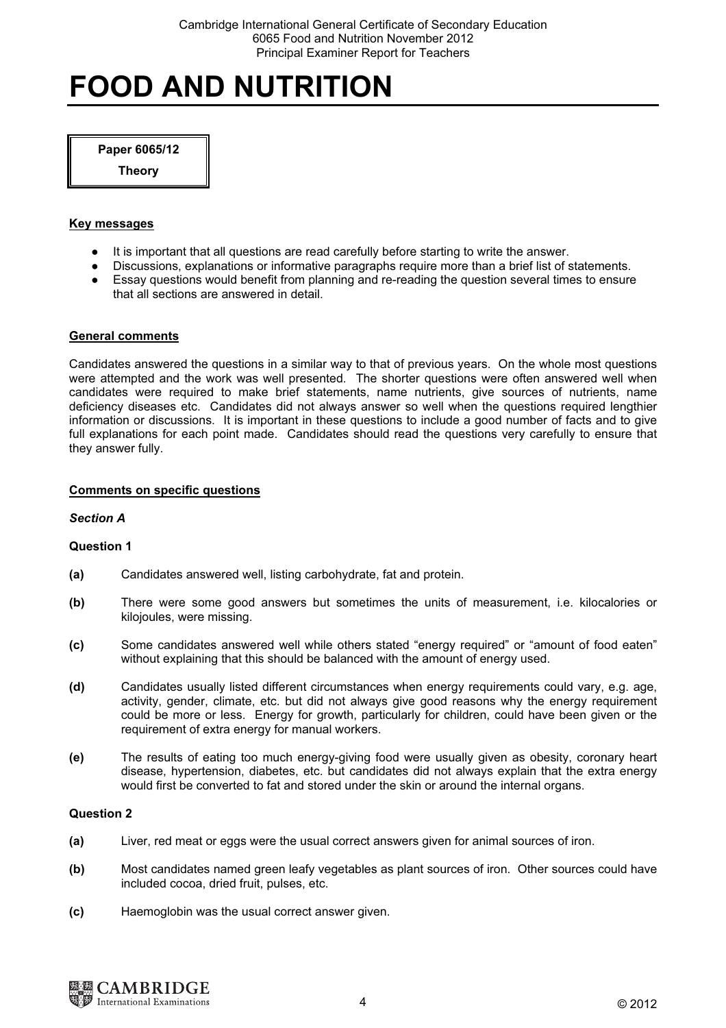# FOOD AND NUTRITION

#### Paper 6065/12

**Theory** 

## Key messages

- It is important that all questions are read carefully before starting to write the answer.
- Discussions, explanations or informative paragraphs require more than a brief list of statements.
- Essay questions would benefit from planning and re-reading the question several times to ensure that all sections are answered in detail.

## General comments

Candidates answered the questions in a similar way to that of previous years. On the whole most questions were attempted and the work was well presented. The shorter questions were often answered well when candidates were required to make brief statements, name nutrients, give sources of nutrients, name deficiency diseases etc. Candidates did not always answer so well when the questions required lengthier information or discussions. It is important in these questions to include a good number of facts and to give full explanations for each point made. Candidates should read the questions very carefully to ensure that they answer fully.

## Comments on specific questions

## Section A

## Question 1

- (a) Candidates answered well, listing carbohydrate, fat and protein.
- (b) There were some good answers but sometimes the units of measurement, i.e. kilocalories or kilojoules, were missing.
- (c) Some candidates answered well while others stated "energy required" or "amount of food eaten" without explaining that this should be balanced with the amount of energy used.
- (d) Candidates usually listed different circumstances when energy requirements could vary, e.g. age, activity, gender, climate, etc. but did not always give good reasons why the energy requirement could be more or less. Energy for growth, particularly for children, could have been given or the requirement of extra energy for manual workers.
- (e) The results of eating too much energy-giving food were usually given as obesity, coronary heart disease, hypertension, diabetes, etc. but candidates did not always explain that the extra energy would first be converted to fat and stored under the skin or around the internal organs.

- (a) Liver, red meat or eggs were the usual correct answers given for animal sources of iron.
- (b) Most candidates named green leafy vegetables as plant sources of iron. Other sources could have included cocoa, dried fruit, pulses, etc.
- (c) Haemoglobin was the usual correct answer given.

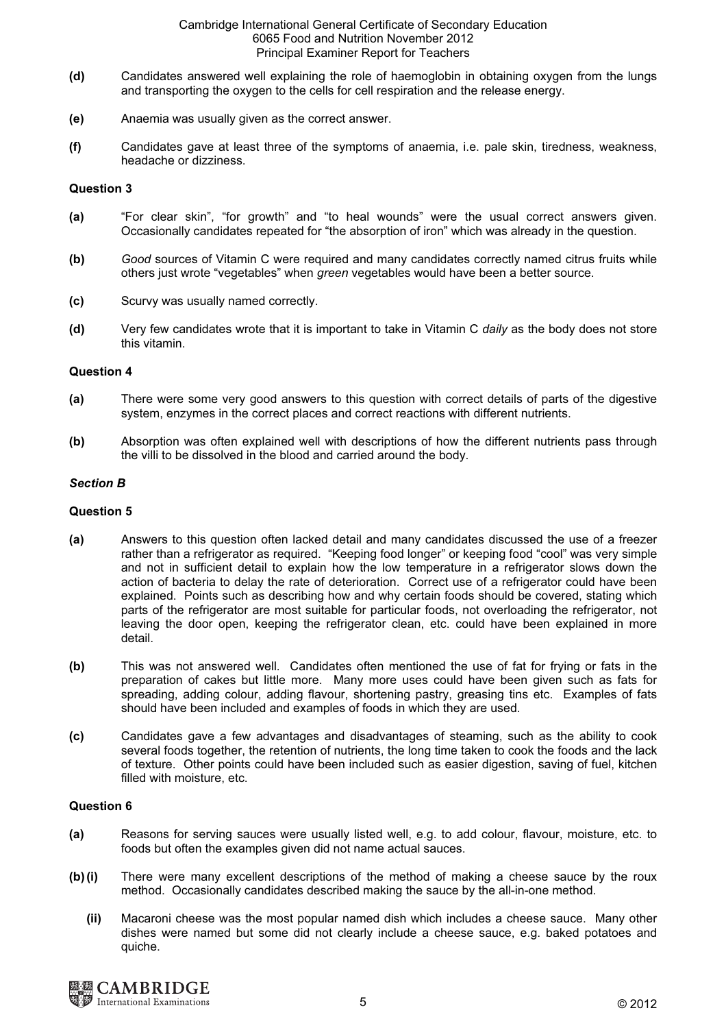- (d) Candidates answered well explaining the role of haemoglobin in obtaining oxygen from the lungs and transporting the oxygen to the cells for cell respiration and the release energy.
- (e) Anaemia was usually given as the correct answer.
- (f) Candidates gave at least three of the symptoms of anaemia, i.e. pale skin, tiredness, weakness, headache or dizziness.

#### Question 3

- (a) "For clear skin", "for growth" and "to heal wounds" were the usual correct answers given. Occasionally candidates repeated for "the absorption of iron" which was already in the question.
- (b) Good sources of Vitamin C were required and many candidates correctly named citrus fruits while others just wrote "vegetables" when green vegetables would have been a better source.
- (c) Scurvy was usually named correctly.
- (d) Very few candidates wrote that it is important to take in Vitamin C *daily* as the body does not store this vitamin.

#### Question 4

- (a) There were some very good answers to this question with correct details of parts of the digestive system, enzymes in the correct places and correct reactions with different nutrients.
- (b) Absorption was often explained well with descriptions of how the different nutrients pass through the villi to be dissolved in the blood and carried around the body.

#### Section B

#### Question 5

- (a) Answers to this question often lacked detail and many candidates discussed the use of a freezer rather than a refrigerator as required. "Keeping food longer" or keeping food "cool" was very simple and not in sufficient detail to explain how the low temperature in a refrigerator slows down the action of bacteria to delay the rate of deterioration. Correct use of a refrigerator could have been explained. Points such as describing how and why certain foods should be covered, stating which parts of the refrigerator are most suitable for particular foods, not overloading the refrigerator, not leaving the door open, keeping the refrigerator clean, etc. could have been explained in more detail.
- (b) This was not answered well. Candidates often mentioned the use of fat for frying or fats in the preparation of cakes but little more. Many more uses could have been given such as fats for spreading, adding colour, adding flavour, shortening pastry, greasing tins etc. Examples of fats should have been included and examples of foods in which they are used.
- (c) Candidates gave a few advantages and disadvantages of steaming, such as the ability to cook several foods together, the retention of nutrients, the long time taken to cook the foods and the lack of texture. Other points could have been included such as easier digestion, saving of fuel, kitchen filled with moisture, etc.

- (a) Reasons for serving sauces were usually listed well, e.g. to add colour, flavour, moisture, etc. to foods but often the examples given did not name actual sauces.
- (b) (i) There were many excellent descriptions of the method of making a cheese sauce by the roux method. Occasionally candidates described making the sauce by the all-in-one method.
	- (ii) Macaroni cheese was the most popular named dish which includes a cheese sauce. Many other dishes were named but some did not clearly include a cheese sauce, e.g. baked potatoes and quiche.

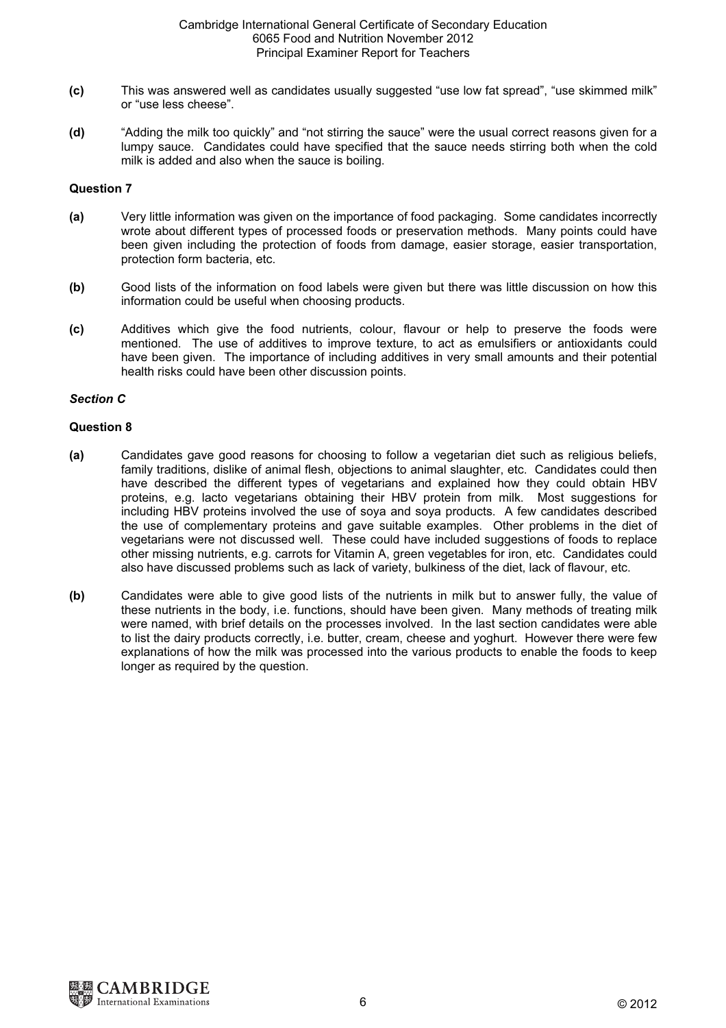- (c) This was answered well as candidates usually suggested "use low fat spread", "use skimmed milk" or "use less cheese".
- (d) "Adding the milk too quickly" and "not stirring the sauce" were the usual correct reasons given for a lumpy sauce. Candidates could have specified that the sauce needs stirring both when the cold milk is added and also when the sauce is boiling.

## Question 7

- (a) Very little information was given on the importance of food packaging. Some candidates incorrectly wrote about different types of processed foods or preservation methods. Many points could have been given including the protection of foods from damage, easier storage, easier transportation, protection form bacteria, etc.
- (b) Good lists of the information on food labels were given but there was little discussion on how this information could be useful when choosing products.
- (c) Additives which give the food nutrients, colour, flavour or help to preserve the foods were mentioned. The use of additives to improve texture, to act as emulsifiers or antioxidants could have been given. The importance of including additives in very small amounts and their potential health risks could have been other discussion points.

## Section C

- (a) Candidates gave good reasons for choosing to follow a vegetarian diet such as religious beliefs, family traditions, dislike of animal flesh, objections to animal slaughter, etc. Candidates could then have described the different types of vegetarians and explained how they could obtain HBV proteins, e.g. lacto vegetarians obtaining their HBV protein from milk. Most suggestions for including HBV proteins involved the use of soya and soya products. A few candidates described the use of complementary proteins and gave suitable examples. Other problems in the diet of vegetarians were not discussed well. These could have included suggestions of foods to replace other missing nutrients, e.g. carrots for Vitamin A, green vegetables for iron, etc. Candidates could also have discussed problems such as lack of variety, bulkiness of the diet, lack of flavour, etc.
- (b) Candidates were able to give good lists of the nutrients in milk but to answer fully, the value of these nutrients in the body, i.e. functions, should have been given. Many methods of treating milk were named, with brief details on the processes involved. In the last section candidates were able to list the dairy products correctly, i.e. butter, cream, cheese and yoghurt. However there were few explanations of how the milk was processed into the various products to enable the foods to keep longer as required by the question.

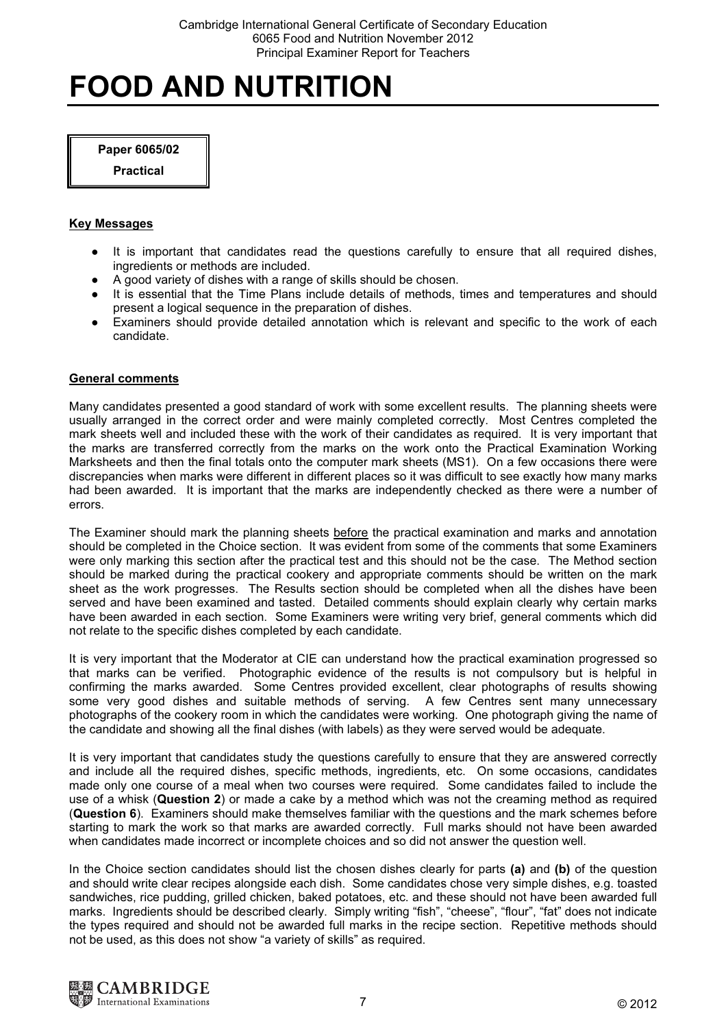# FOOD AND NUTRITION

Paper 6065/02

<u>Practical</u>

# Key Messages

- It is important that candidates read the questions carefully to ensure that all required dishes, ingredients or methods are included.
- A good variety of dishes with a range of skills should be chosen.
- It is essential that the Time Plans include details of methods, times and temperatures and should present a logical sequence in the preparation of dishes.
- Examiners should provide detailed annotation which is relevant and specific to the work of each candidate.

# General comments

Many candidates presented a good standard of work with some excellent results. The planning sheets were usually arranged in the correct order and were mainly completed correctly. Most Centres completed the mark sheets well and included these with the work of their candidates as required. It is very important that the marks are transferred correctly from the marks on the work onto the Practical Examination Working Marksheets and then the final totals onto the computer mark sheets (MS1). On a few occasions there were discrepancies when marks were different in different places so it was difficult to see exactly how many marks had been awarded. It is important that the marks are independently checked as there were a number of errors.

The Examiner should mark the planning sheets before the practical examination and marks and annotation should be completed in the Choice section. It was evident from some of the comments that some Examiners were only marking this section after the practical test and this should not be the case. The Method section should be marked during the practical cookery and appropriate comments should be written on the mark sheet as the work progresses. The Results section should be completed when all the dishes have been served and have been examined and tasted. Detailed comments should explain clearly why certain marks have been awarded in each section. Some Examiners were writing very brief, general comments which did not relate to the specific dishes completed by each candidate.

It is very important that the Moderator at CIE can understand how the practical examination progressed so that marks can be verified. Photographic evidence of the results is not compulsory but is helpful in confirming the marks awarded. Some Centres provided excellent, clear photographs of results showing some very good dishes and suitable methods of serving. A few Centres sent many unnecessary photographs of the cookery room in which the candidates were working. One photograph giving the name of the candidate and showing all the final dishes (with labels) as they were served would be adequate.

It is very important that candidates study the questions carefully to ensure that they are answered correctly and include all the required dishes, specific methods, ingredients, etc. On some occasions, candidates made only one course of a meal when two courses were required. Some candidates failed to include the use of a whisk (Question 2) or made a cake by a method which was not the creaming method as required (Question 6). Examiners should make themselves familiar with the questions and the mark schemes before starting to mark the work so that marks are awarded correctly. Full marks should not have been awarded when candidates made incorrect or incomplete choices and so did not answer the question well.

In the Choice section candidates should list the chosen dishes clearly for parts (a) and (b) of the question and should write clear recipes alongside each dish. Some candidates chose very simple dishes, e.g. toasted sandwiches, rice pudding, grilled chicken, baked potatoes, etc. and these should not have been awarded full marks. Ingredients should be described clearly. Simply writing "fish", "cheese", "flour", "fat" does not indicate the types required and should not be awarded full marks in the recipe section. Repetitive methods should not be used, as this does not show "a variety of skills" as required.